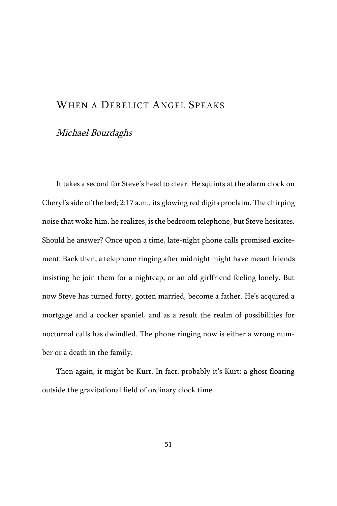# WHEN A DERELICT ANGEL SPEAKS

## Michael Bourdaghs

It takes a second for Steve's head to clear. He squints at the alarm clock on Cheryl's side of the bed; 2:17 a.m., its glowing red digits proclaim. The chirping noise that woke him, he realizes, is the bedroom telephone, but Steve hesitates. Should he answer? Once upon a time, late-night phone calls promised excitement. Back then, a telephone ringing after midnight might have meant friends insisting he join them for a nightcap, or an old girlfriend feeling lonely. But now Steve has turned forty, gotten married, become a father. He's acquired a mortgage and a cocker spaniel, and as a result the realm of possibilities for nocturnal calls has dwindled. The phone ringing now is either a wrong number or a death in the family.

Then again, it might be Kurt. In fact, probably it's Kurt: a ghost floating outside the gravitational field of ordinary clock time.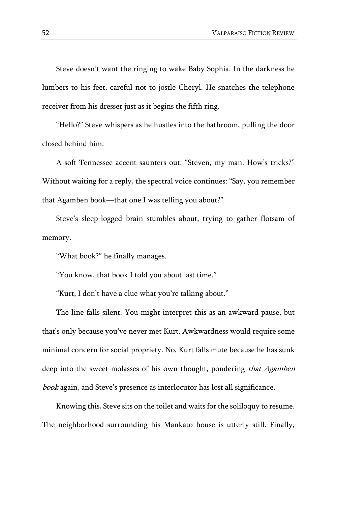Steve doesn't want the ringing to wake Baby Sophia. In the darkness he lumbers to his feet, careful not to jostle Cheryl. He snatches the telephone receiver from his dresser just as it begins the fifth ring.

"Hello?" Steve whispers as he hustles into the bathroom, pulling the door closed behind him.

A soft Tennessee accent saunters out. "Steven, my man. How's tricks?" Without waiting for a reply, the spectral voice continues: "Say, you remember that Agamben book—that one I was telling you about?"

Steve's sleep-logged brain stumbles about, trying to gather flotsam of memory.

"What book?" he finally manages.

"You know, that book I told you about last time."

"Kurt, I don't have a clue what you're talking about."

The line falls silent. You might interpret this as an awkward pause, but that's only because you've never met Kurt. Awkwardness would require some minimal concern for social propriety. No, Kurt falls mute because he has sunk deep into the sweet molasses of his own thought, pondering that Agamben book again, and Steve's presence as interlocutor has lost all significance.

Knowing this, Steve sits on the toilet and waits for the soliloquy to resume. The neighborhood surrounding his Mankato house is utterly still. Finally,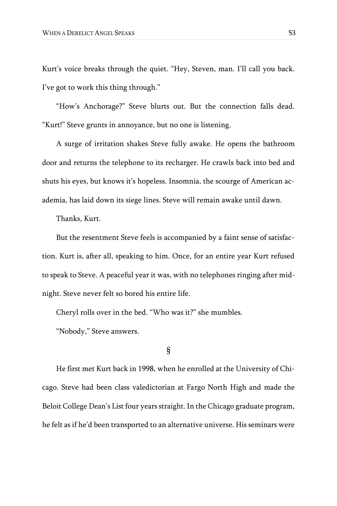Kurt's voice breaks through the quiet. "Hey, Steven, man. I'll call you back. I've got to work this thing through."

"How's Anchorage?" Steve blurts out. But the connection falls dead. "Kurt!" Steve grunts in annoyance, but no one is listening.

A surge of irritation shakes Steve fully awake. He opens the bathroom door and returns the telephone to its recharger. He crawls back into bed and shuts his eyes, but knows it's hopeless. Insomnia, the scourge of American academia, has laid down its siege lines. Steve will remain awake until dawn.

Thanks, Kurt.

But the resentment Steve feels is accompanied by a faint sense of satisfaction. Kurt is, after all, speaking to him. Once, for an entire year Kurt refused to speak to Steve. A peaceful year it was, with no telephones ringing after midnight. Steve never felt so bored his entire life.

Cheryl rolls over in the bed. "Who was it?" she mumbles.

"Nobody," Steve answers.

### §

He first met Kurt back in 1998, when he enrolled at the University of Chicago. Steve had been class valedictorian at Fargo North High and made the Beloit College Dean's List four years straight. In the Chicago graduate program, he felt as if he'd been transported to an alternative universe. His seminars were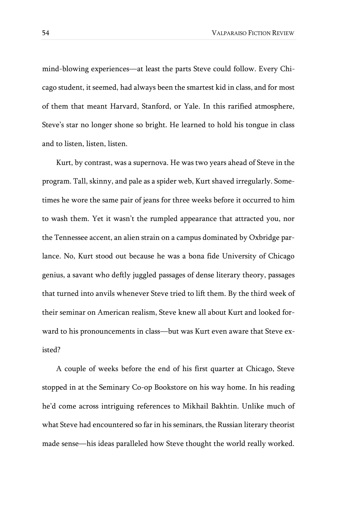mind-blowing experiences—at least the parts Steve could follow. Every Chicago student, it seemed, had always been the smartest kid in class, and for most of them that meant Harvard, Stanford, or Yale. In this rarified atmosphere, Steve's star no longer shone so bright. He learned to hold his tongue in class and to listen, listen, listen.

Kurt, by contrast, was a supernova. He was two years ahead of Steve in the program. Tall, skinny, and pale as a spider web, Kurt shaved irregularly. Sometimes he wore the same pair of jeans for three weeks before it occurred to him to wash them. Yet it wasn't the rumpled appearance that attracted you, nor the Tennessee accent, an alien strain on a campus dominated by Oxbridge parlance. No, Kurt stood out because he was a bona fide University of Chicago genius, a savant who deftly juggled passages of dense literary theory, passages that turned into anvils whenever Steve tried to lift them. By the third week of their seminar on American realism, Steve knew all about Kurt and looked forward to his pronouncements in class—but was Kurt even aware that Steve existed?

A couple of weeks before the end of his first quarter at Chicago, Steve stopped in at the Seminary Co-op Bookstore on his way home. In his reading he'd come across intriguing references to Mikhail Bakhtin. Unlike much of what Steve had encountered so far in his seminars, the Russian literary theorist made sense—his ideas paralleled how Steve thought the world really worked.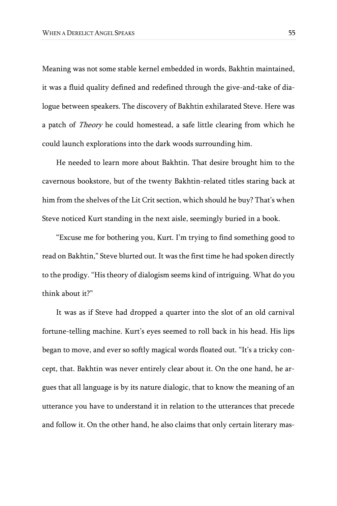Meaning was not some stable kernel embedded in words, Bakhtin maintained, it was a fluid quality defined and redefined through the give-and-take of dialogue between speakers. The discovery of Bakhtin exhilarated Steve. Here was a patch of Theory he could homestead, a safe little clearing from which he could launch explorations into the dark woods surrounding him.

He needed to learn more about Bakhtin. That desire brought him to the cavernous bookstore, but of the twenty Bakhtin-related titles staring back at him from the shelves of the Lit Crit section, which should he buy? That's when Steve noticed Kurt standing in the next aisle, seemingly buried in a book.

"Excuse me for bothering you, Kurt. I'm trying to find something good to read on Bakhtin," Steve blurted out. It was the first time he had spoken directly to the prodigy. "His theory of dialogism seems kind of intriguing. What do you think about it?"

It was as if Steve had dropped a quarter into the slot of an old carnival fortune-telling machine. Kurt's eyes seemed to roll back in his head. His lips began to move, and ever so softly magical words floated out. "It's a tricky concept, that. Bakhtin was never entirely clear about it. On the one hand, he argues that all language is by its nature dialogic, that to know the meaning of an utterance you have to understand it in relation to the utterances that precede and follow it. On the other hand, he also claims that only certain literary mas-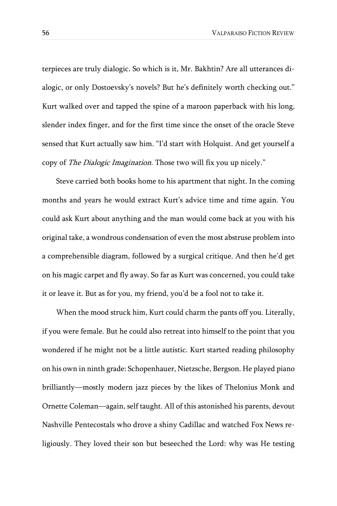terpieces are truly dialogic. So which is it, Mr. Bakhtin? Are all utterances dialogic, or only Dostoevsky's novels? But he's definitely worth checking out." Kurt walked over and tapped the spine of a maroon paperback with his long, slender index finger, and for the first time since the onset of the oracle Steve sensed that Kurt actually saw him. "I'd start with Holquist. And get yourself a copy of The Dialogic Imagination. Those two will fix you up nicely."

Steve carried both books home to his apartment that night. In the coming months and years he would extract Kurt's advice time and time again. You could ask Kurt about anything and the man would come back at you with his original take, a wondrous condensation of even the most abstruse problem into a comprehensible diagram, followed by a surgical critique. And then he'd get on his magic carpet and fly away. So far as Kurt was concerned, you could take it or leave it. But as for you, my friend, you'd be a fool not to take it.

When the mood struck him, Kurt could charm the pants off you. Literally, if you were female. But he could also retreat into himself to the point that you wondered if he might not be a little autistic. Kurt started reading philosophy on his own in ninth grade: Schopenhauer, Nietzsche, Bergson. He played piano brilliantly—mostly modern jazz pieces by the likes of Thelonius Monk and Ornette Coleman—again, self taught. All of this astonished his parents, devout Nashville Pentecostals who drove a shiny Cadillac and watched Fox News religiously. They loved their son but beseeched the Lord: why was He testing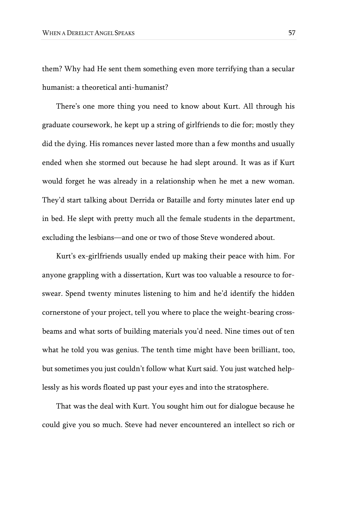them? Why had He sent them something even more terrifying than a secular humanist: a theoretical anti-humanist?

There's one more thing you need to know about Kurt. All through his graduate coursework, he kept up a string of girlfriends to die for; mostly they did the dying. His romances never lasted more than a few months and usually ended when she stormed out because he had slept around. It was as if Kurt would forget he was already in a relationship when he met a new woman. They'd start talking about Derrida or Bataille and forty minutes later end up in bed. He slept with pretty much all the female students in the department, excluding the lesbians—and one or two of those Steve wondered about.

Kurt's ex-girlfriends usually ended up making their peace with him. For anyone grappling with a dissertation, Kurt was too valuable a resource to forswear. Spend twenty minutes listening to him and he'd identify the hidden cornerstone of your project, tell you where to place the weight-bearing crossbeams and what sorts of building materials you'd need. Nine times out of ten what he told you was genius. The tenth time might have been brilliant, too, but sometimes you just couldn't follow what Kurt said. You just watched helplessly as his words floated up past your eyes and into the stratosphere.

That was the deal with Kurt. You sought him out for dialogue because he could give you so much. Steve had never encountered an intellect so rich or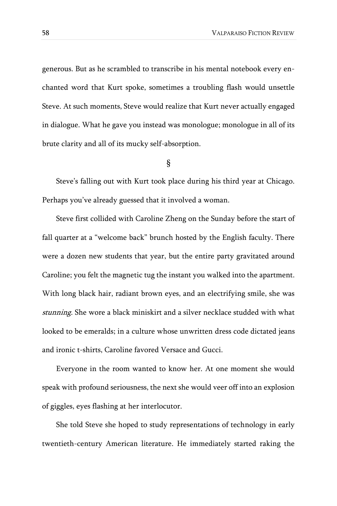generous. But as he scrambled to transcribe in his mental notebook every enchanted word that Kurt spoke, sometimes a troubling flash would unsettle Steve. At such moments, Steve would realize that Kurt never actually engaged in dialogue. What he gave you instead was monologue; monologue in all of its brute clarity and all of its mucky self-absorption.

#### §

Steve's falling out with Kurt took place during his third year at Chicago. Perhaps you've already guessed that it involved a woman.

Steve first collided with Caroline Zheng on the Sunday before the start of fall quarter at a "welcome back" brunch hosted by the English faculty. There were a dozen new students that year, but the entire party gravitated around Caroline; you felt the magnetic tug the instant you walked into the apartment. With long black hair, radiant brown eyes, and an electrifying smile, she was stunning. She wore a black miniskirt and a silver necklace studded with what looked to be emeralds; in a culture whose unwritten dress code dictated jeans and ironic t-shirts, Caroline favored Versace and Gucci.

Everyone in the room wanted to know her. At one moment she would speak with profound seriousness, the next she would veer off into an explosion of giggles, eyes flashing at her interlocutor.

She told Steve she hoped to study representations of technology in early twentieth-century American literature. He immediately started raking the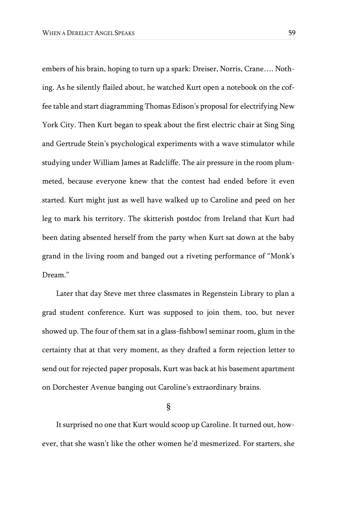embers of his brain, hoping to turn up a spark: Dreiser, Norris, Crane…. Nothing. As he silently flailed about, he watched Kurt open a notebook on the coffee table and start diagramming Thomas Edison's proposal for electrifying New York City. Then Kurt began to speak about the first electric chair at Sing Sing and Gertrude Stein's psychological experiments with a wave stimulator while studying under William James at Radcliffe. The air pressure in the room plummeted, because everyone knew that the contest had ended before it even started. Kurt might just as well have walked up to Caroline and peed on her leg to mark his territory. The skitterish postdoc from Ireland that Kurt had been dating absented herself from the party when Kurt sat down at the baby grand in the living room and banged out a riveting performance of "Monk's Dream."

Later that day Steve met three classmates in Regenstein Library to plan a grad student conference. Kurt was supposed to join them, too, but never showed up. The four of them sat in a glass-fishbowl seminar room, glum in the certainty that at that very moment, as they drafted a form rejection letter to send out for rejected paper proposals, Kurt was back at his basement apartment on Dorchester Avenue banging out Caroline's extraordinary brains.

§

It surprised no one that Kurt would scoop up Caroline. It turned out, however, that she wasn't like the other women he'd mesmerized. For starters, she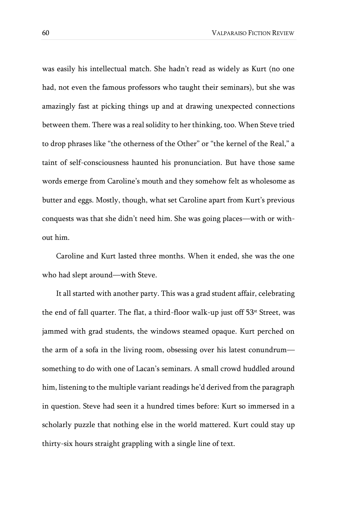was easily his intellectual match. She hadn't read as widely as Kurt (no one had, not even the famous professors who taught their seminars), but she was amazingly fast at picking things up and at drawing unexpected connections between them. There was a real solidity to her thinking, too. When Steve tried to drop phrases like "the otherness of the Other" or "the kernel of the Real," a taint of self-consciousness haunted his pronunciation. But have those same words emerge from Caroline's mouth and they somehow felt as wholesome as butter and eggs. Mostly, though, what set Caroline apart from Kurt's previous conquests was that she didn't need him. She was going places—with or without him.

Caroline and Kurt lasted three months. When it ended, she was the one who had slept around—with Steve.

It all started with another party. This was a grad student affair, celebrating the end of fall quarter. The flat, a third-floor walk-up just off 53<sup>st</sup> Street, was jammed with grad students, the windows steamed opaque. Kurt perched on the arm of a sofa in the living room, obsessing over his latest conundrum something to do with one of Lacan's seminars. A small crowd huddled around him, listening to the multiple variant readings he'd derived from the paragraph in question. Steve had seen it a hundred times before: Kurt so immersed in a scholarly puzzle that nothing else in the world mattered. Kurt could stay up thirty-six hours straight grappling with a single line of text.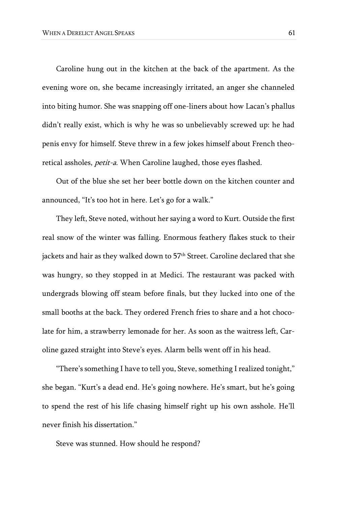Caroline hung out in the kitchen at the back of the apartment. As the evening wore on, she became increasingly irritated, an anger she channeled into biting humor. She was snapping off one-liners about how Lacan's phallus didn't really exist, which is why he was so unbelievably screwed up: he had penis envy for himself. Steve threw in a few jokes himself about French theoretical assholes, *petit-a*. When Caroline laughed, those eyes flashed.

Out of the blue she set her beer bottle down on the kitchen counter and announced, "It's too hot in here. Let's go for a walk."

They left, Steve noted, without her saying a word to Kurt. Outside the first real snow of the winter was falling. Enormous feathery flakes stuck to their jackets and hair as they walked down to 57<sup>th</sup> Street. Caroline declared that she was hungry, so they stopped in at Medici. The restaurant was packed with undergrads blowing off steam before finals, but they lucked into one of the small booths at the back. They ordered French fries to share and a hot chocolate for him, a strawberry lemonade for her. As soon as the waitress left, Caroline gazed straight into Steve's eyes. Alarm bells went off in his head.

"There's something I have to tell you, Steve, something I realized tonight," she began. "Kurt's a dead end. He's going nowhere. He's smart, but he's going to spend the rest of his life chasing himself right up his own asshole. He'll never finish his dissertation."

Steve was stunned. How should he respond?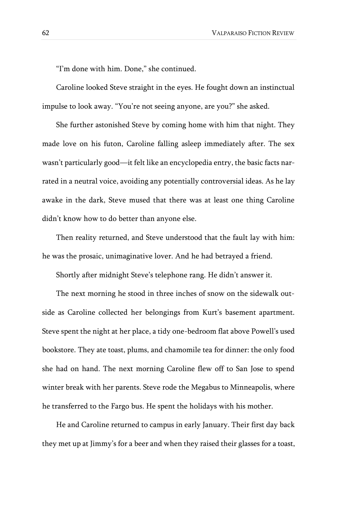"I'm done with him. Done," she continued.

Caroline looked Steve straight in the eyes. He fought down an instinctual impulse to look away. "You're not seeing anyone, are you?" she asked.

She further astonished Steve by coming home with him that night. They made love on his futon, Caroline falling asleep immediately after. The sex wasn't particularly good—it felt like an encyclopedia entry, the basic facts narrated in a neutral voice, avoiding any potentially controversial ideas. As he lay awake in the dark, Steve mused that there was at least one thing Caroline didn't know how to do better than anyone else.

Then reality returned, and Steve understood that the fault lay with him: he was the prosaic, unimaginative lover. And he had betrayed a friend.

Shortly after midnight Steve's telephone rang. He didn't answer it.

The next morning he stood in three inches of snow on the sidewalk outside as Caroline collected her belongings from Kurt's basement apartment. Steve spent the night at her place, a tidy one-bedroom flat above Powell's used bookstore. They ate toast, plums, and chamomile tea for dinner: the only food she had on hand. The next morning Caroline flew off to San Jose to spend winter break with her parents. Steve rode the Megabus to Minneapolis, where he transferred to the Fargo bus. He spent the holidays with his mother.

He and Caroline returned to campus in early January. Their first day back they met up at Jimmy's for a beer and when they raised their glasses for a toast,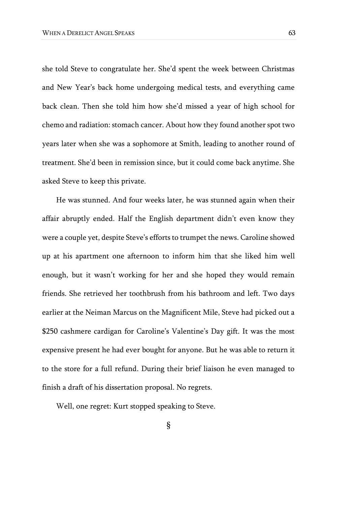she told Steve to congratulate her. She'd spent the week between Christmas and New Year's back home undergoing medical tests, and everything came back clean. Then she told him how she'd missed a year of high school for chemo and radiation: stomach cancer. About how they found another spot two years later when she was a sophomore at Smith, leading to another round of treatment. She'd been in remission since, but it could come back anytime. She asked Steve to keep this private.

He was stunned. And four weeks later, he was stunned again when their affair abruptly ended. Half the English department didn't even know they were a couple yet, despite Steve's efforts to trumpet the news. Caroline showed up at his apartment one afternoon to inform him that she liked him well enough, but it wasn't working for her and she hoped they would remain friends. She retrieved her toothbrush from his bathroom and left. Two days earlier at the Neiman Marcus on the Magnificent Mile, Steve had picked out a \$250 cashmere cardigan for Caroline's Valentine's Day gift. It was the most expensive present he had ever bought for anyone. But he was able to return it to the store for a full refund. During their brief liaison he even managed to finish a draft of his dissertation proposal. No regrets.

Well, one regret: Kurt stopped speaking to Steve.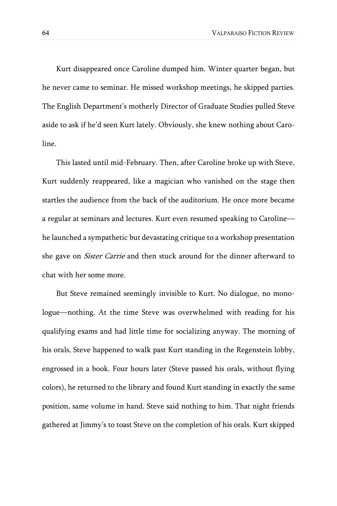Kurt disappeared once Caroline dumped him. Winter quarter began, but he never came to seminar. He missed workshop meetings, he skipped parties. The English Department's motherly Director of Graduate Studies pulled Steve aside to ask if he'd seen Kurt lately. Obviously, she knew nothing about Caroline.

This lasted until mid-February. Then, after Caroline broke up with Steve, Kurt suddenly reappeared, like a magician who vanished on the stage then startles the audience from the back of the auditorium. He once more became a regular at seminars and lectures. Kurt even resumed speaking to Caroline he launched a sympathetic but devastating critique to a workshop presentation she gave on *Sister Carrie* and then stuck around for the dinner afterward to chat with her some more.

But Steve remained seemingly invisible to Kurt. No dialogue, no monologue—nothing. At the time Steve was overwhelmed with reading for his qualifying exams and had little time for socializing anyway. The morning of his orals, Steve happened to walk past Kurt standing in the Regenstein lobby, engrossed in a book. Four hours later (Steve passed his orals, without flying colors), he returned to the library and found Kurt standing in exactly the same position, same volume in hand. Steve said nothing to him. That night friends gathered at Jimmy's to toast Steve on the completion of his orals. Kurt skipped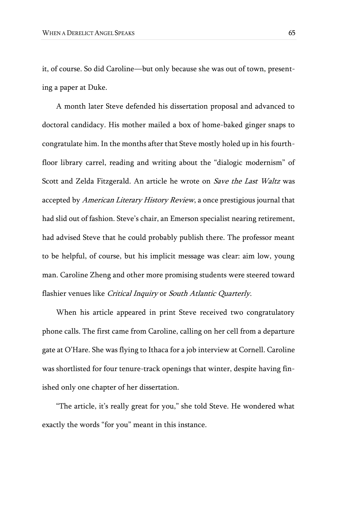it, of course. So did Caroline—but only because she was out of town, presenting a paper at Duke.

A month later Steve defended his dissertation proposal and advanced to doctoral candidacy. His mother mailed a box of home-baked ginger snaps to congratulate him. In the months after that Steve mostly holed up in his fourthfloor library carrel, reading and writing about the "dialogic modernism" of Scott and Zelda Fitzgerald. An article he wrote on Save the Last Waltz was accepted by American Literary History Review, a once prestigious journal that had slid out of fashion. Steve's chair, an Emerson specialist nearing retirement, had advised Steve that he could probably publish there. The professor meant to be helpful, of course, but his implicit message was clear: aim low, young man. Caroline Zheng and other more promising students were steered toward flashier venues like Critical Inquiry or South Atlantic Quarterly.

When his article appeared in print Steve received two congratulatory phone calls. The first came from Caroline, calling on her cell from a departure gate at O'Hare. She was flying to Ithaca for a job interview at Cornell. Caroline was shortlisted for four tenure-track openings that winter, despite having finished only one chapter of her dissertation.

"The article, it's really great for you," she told Steve. He wondered what exactly the words "for you" meant in this instance.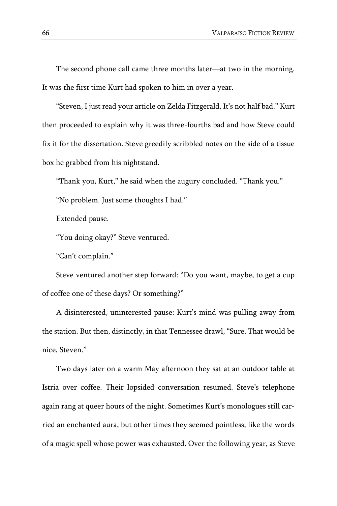The second phone call came three months later—at two in the morning. It was the first time Kurt had spoken to him in over a year.

"Steven, I just read your article on Zelda Fitzgerald. It's not half bad." Kurt then proceeded to explain why it was three-fourths bad and how Steve could fix it for the dissertation. Steve greedily scribbled notes on the side of a tissue box he grabbed from his nightstand.

"Thank you, Kurt," he said when the augury concluded. "Thank you."

"No problem. Just some thoughts I had."

Extended pause.

"You doing okay?" Steve ventured.

"Can't complain."

Steve ventured another step forward: "Do you want, maybe, to get a cup of coffee one of these days? Or something?"

A disinterested, uninterested pause: Kurt's mind was pulling away from the station. But then, distinctly, in that Tennessee drawl, "Sure. That would be nice, Steven."

Two days later on a warm May afternoon they sat at an outdoor table at Istria over coffee. Their lopsided conversation resumed. Steve's telephone again rang at queer hours of the night. Sometimes Kurt's monologues still carried an enchanted aura, but other times they seemed pointless, like the words of a magic spell whose power was exhausted. Over the following year, as Steve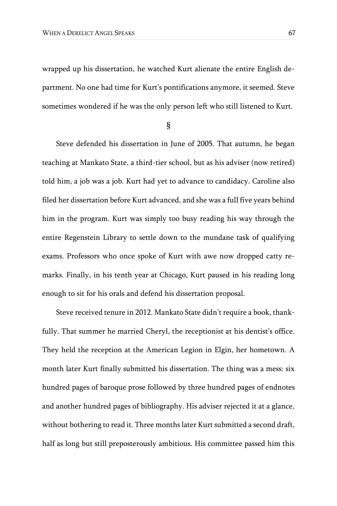wrapped up his dissertation, he watched Kurt alienate the entire English department. No one had time for Kurt's pontifications anymore, it seemed. Steve sometimes wondered if he was the only person left who still listened to Kurt.

§

Steve defended his dissertation in June of 2005. That autumn, he began teaching at Mankato State, a third-tier school, but as his adviser (now retired) told him, a job was a job. Kurt had yet to advance to candidacy. Caroline also filed her dissertation before Kurt advanced, and she was a full five years behind him in the program. Kurt was simply too busy reading his way through the entire Regenstein Library to settle down to the mundane task of qualifying exams. Professors who once spoke of Kurt with awe now dropped catty remarks. Finally, in his tenth year at Chicago, Kurt paused in his reading long enough to sit for his orals and defend his dissertation proposal.

Steve received tenure in 2012. Mankato State didn't require a book, thankfully. That summer he married Cheryl, the receptionist at his dentist's office. They held the reception at the American Legion in Elgin, her hometown. A month later Kurt finally submitted his dissertation. The thing was a mess: six hundred pages of baroque prose followed by three hundred pages of endnotes and another hundred pages of bibliography. His adviser rejected it at a glance, without bothering to read it. Three months later Kurt submitted a second draft, half as long but still preposterously ambitious. His committee passed him this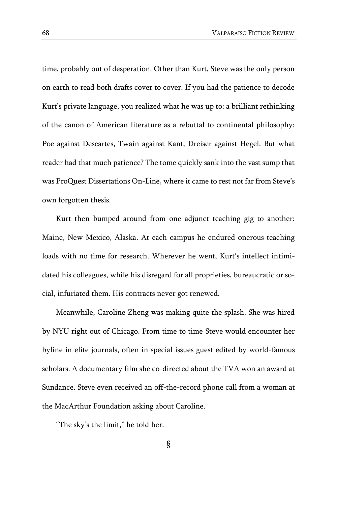time, probably out of desperation. Other than Kurt, Steve was the only person on earth to read both drafts cover to cover. If you had the patience to decode Kurt's private language, you realized what he was up to: a brilliant rethinking of the canon of American literature as a rebuttal to continental philosophy: Poe against Descartes, Twain against Kant, Dreiser against Hegel. But what reader had that much patience? The tome quickly sank into the vast sump that was ProQuest Dissertations On-Line, where it came to rest not far from Steve's own forgotten thesis.

Kurt then bumped around from one adjunct teaching gig to another: Maine, New Mexico, Alaska. At each campus he endured onerous teaching loads with no time for research. Wherever he went, Kurt's intellect intimidated his colleagues, while his disregard for all proprieties, bureaucratic or social, infuriated them. His contracts never got renewed.

Meanwhile, Caroline Zheng was making quite the splash. She was hired by NYU right out of Chicago. From time to time Steve would encounter her byline in elite journals, often in special issues guest edited by world-famous scholars. A documentary film she co-directed about the TVA won an award at Sundance. Steve even received an off-the-record phone call from a woman at the MacArthur Foundation asking about Caroline.

"The sky's the limit," he told her.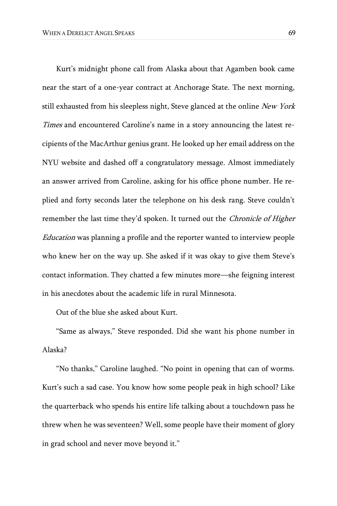Kurt's midnight phone call from Alaska about that Agamben book came near the start of a one-year contract at Anchorage State. The next morning, still exhausted from his sleepless night, Steve glanced at the online New York Times and encountered Caroline's name in a story announcing the latest recipients of the MacArthur genius grant. He looked up her email address on the NYU website and dashed off a congratulatory message. Almost immediately an answer arrived from Caroline, asking for his office phone number. He replied and forty seconds later the telephone on his desk rang. Steve couldn't remember the last time they'd spoken. It turned out the *Chronicle of Higher* Education was planning a profile and the reporter wanted to interview people who knew her on the way up. She asked if it was okay to give them Steve's contact information. They chatted a few minutes more—she feigning interest in his anecdotes about the academic life in rural Minnesota.

Out of the blue she asked about Kurt.

"Same as always," Steve responded. Did she want his phone number in Alaska?

"No thanks," Caroline laughed. "No point in opening that can of worms. Kurt's such a sad case. You know how some people peak in high school? Like the quarterback who spends his entire life talking about a touchdown pass he threw when he was seventeen? Well, some people have their moment of glory in grad school and never move beyond it."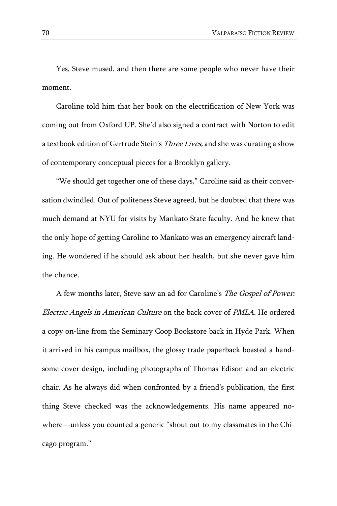Yes, Steve mused, and then there are some people who never have their moment.

Caroline told him that her book on the electrification of New York was coming out from Oxford UP. She'd also signed a contract with Norton to edit a textbook edition of Gertrude Stein's Three Lives, and she was curating a show of contemporary conceptual pieces for a Brooklyn gallery.

"We should get together one of these days," Caroline said as their conversation dwindled. Out of politeness Steve agreed, but he doubted that there was much demand at NYU for visits by Mankato State faculty. And he knew that the only hope of getting Caroline to Mankato was an emergency aircraft landing. He wondered if he should ask about her health, but she never gave him the chance.

A few months later, Steve saw an ad for Caroline's The Gospel of Power: Electric Angels in American Culture on the back cover of PMLA. He ordered a copy on-line from the Seminary Coop Bookstore back in Hyde Park. When it arrived in his campus mailbox, the glossy trade paperback boasted a handsome cover design, including photographs of Thomas Edison and an electric chair. As he always did when confronted by a friend's publication, the first thing Steve checked was the acknowledgements. His name appeared nowhere—unless you counted a generic "shout out to my classmates in the Chicago program."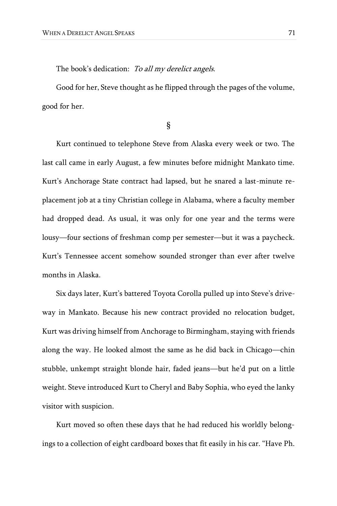The book's dedication: To all my derelict angels.

Good for her, Steve thought as he flipped through the pages of the volume, good for her.

§

Kurt continued to telephone Steve from Alaska every week or two. The last call came in early August, a few minutes before midnight Mankato time. Kurt's Anchorage State contract had lapsed, but he snared a last-minute replacement job at a tiny Christian college in Alabama, where a faculty member had dropped dead. As usual, it was only for one year and the terms were lousy—four sections of freshman comp per semester—but it was a paycheck. Kurt's Tennessee accent somehow sounded stronger than ever after twelve months in Alaska.

Six days later, Kurt's battered Toyota Corolla pulled up into Steve's driveway in Mankato. Because his new contract provided no relocation budget, Kurt was driving himself from Anchorage to Birmingham, staying with friends along the way. He looked almost the same as he did back in Chicago—chin stubble, unkempt straight blonde hair, faded jeans—but he'd put on a little weight. Steve introduced Kurt to Cheryl and Baby Sophia, who eyed the lanky visitor with suspicion.

Kurt moved so often these days that he had reduced his worldly belongings to a collection of eight cardboard boxes that fit easily in his car. "Have Ph.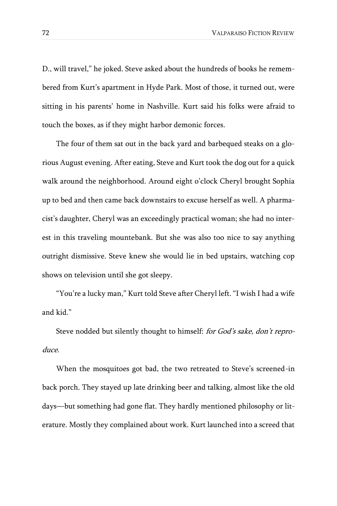D., will travel," he joked. Steve asked about the hundreds of books he remembered from Kurt's apartment in Hyde Park. Most of those, it turned out, were sitting in his parents' home in Nashville. Kurt said his folks were afraid to touch the boxes, as if they might harbor demonic forces.

The four of them sat out in the back yard and barbequed steaks on a glorious August evening. After eating, Steve and Kurt took the dog out for a quick walk around the neighborhood. Around eight o'clock Cheryl brought Sophia up to bed and then came back downstairs to excuse herself as well. A pharmacist's daughter, Cheryl was an exceedingly practical woman; she had no interest in this traveling mountebank. But she was also too nice to say anything outright dismissive. Steve knew she would lie in bed upstairs, watching cop shows on television until she got sleepy.

"You're a lucky man," Kurt told Steve after Cheryl left. "I wish I had a wife and kid."

Steve nodded but silently thought to himself: for God's sake, don't reproduce.

When the mosquitoes got bad, the two retreated to Steve's screened-in back porch. They stayed up late drinking beer and talking, almost like the old days—but something had gone flat. They hardly mentioned philosophy or literature. Mostly they complained about work. Kurt launched into a screed that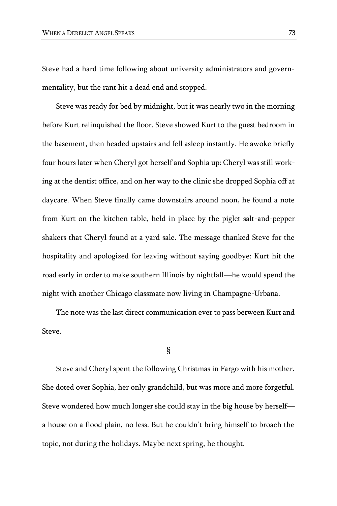Steve had a hard time following about university administrators and governmentality, but the rant hit a dead end and stopped.

Steve was ready for bed by midnight, but it was nearly two in the morning before Kurt relinquished the floor. Steve showed Kurt to the guest bedroom in the basement, then headed upstairs and fell asleep instantly. He awoke briefly four hours later when Cheryl got herself and Sophia up: Cheryl was still working at the dentist office, and on her way to the clinic she dropped Sophia off at daycare. When Steve finally came downstairs around noon, he found a note from Kurt on the kitchen table, held in place by the piglet salt-and-pepper shakers that Cheryl found at a yard sale. The message thanked Steve for the hospitality and apologized for leaving without saying goodbye: Kurt hit the road early in order to make southern Illinois by nightfall—he would spend the night with another Chicago classmate now living in Champagne-Urbana.

The note was the last direct communication ever to pass between Kurt and Steve.

### §

Steve and Cheryl spent the following Christmas in Fargo with his mother. She doted over Sophia, her only grandchild, but was more and more forgetful. Steve wondered how much longer she could stay in the big house by herself a house on a flood plain, no less. But he couldn't bring himself to broach the topic, not during the holidays. Maybe next spring, he thought.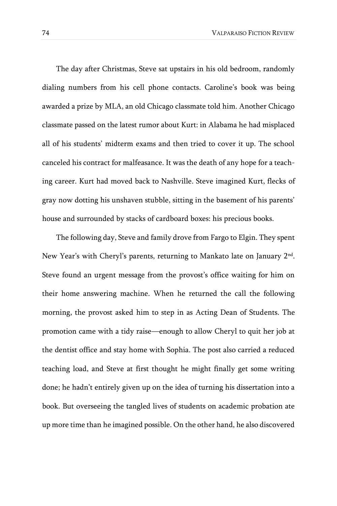The day after Christmas, Steve sat upstairs in his old bedroom, randomly dialing numbers from his cell phone contacts. Caroline's book was being awarded a prize by MLA, an old Chicago classmate told him. Another Chicago classmate passed on the latest rumor about Kurt: in Alabama he had misplaced all of his students' midterm exams and then tried to cover it up. The school canceled his contract for malfeasance. It was the death of any hope for a teaching career. Kurt had moved back to Nashville. Steve imagined Kurt, flecks of gray now dotting his unshaven stubble, sitting in the basement of his parents' house and surrounded by stacks of cardboard boxes: his precious books.

The following day, Steve and family drove from Fargo to Elgin. They spent New Year's with Cheryl's parents, returning to Mankato late on January 2nd . Steve found an urgent message from the provost's office waiting for him on their home answering machine. When he returned the call the following morning, the provost asked him to step in as Acting Dean of Students. The promotion came with a tidy raise—enough to allow Cheryl to quit her job at the dentist office and stay home with Sophia. The post also carried a reduced teaching load, and Steve at first thought he might finally get some writing done; he hadn't entirely given up on the idea of turning his dissertation into a book. But overseeing the tangled lives of students on academic probation ate up more time than he imagined possible. On the other hand, he also discovered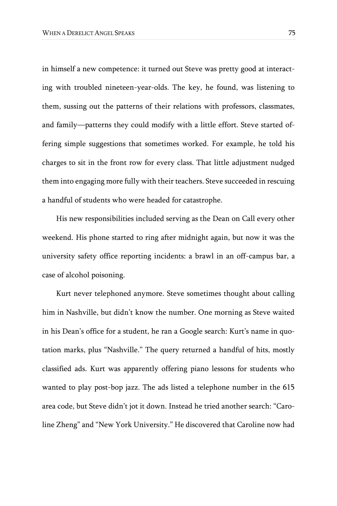in himself a new competence: it turned out Steve was pretty good at interacting with troubled nineteen-year-olds. The key, he found, was listening to them, sussing out the patterns of their relations with professors, classmates, and family—patterns they could modify with a little effort. Steve started offering simple suggestions that sometimes worked. For example, he told his charges to sit in the front row for every class. That little adjustment nudged them into engaging more fully with their teachers. Steve succeeded in rescuing a handful of students who were headed for catastrophe.

His new responsibilities included serving as the Dean on Call every other weekend. His phone started to ring after midnight again, but now it was the university safety office reporting incidents: a brawl in an off-campus bar, a case of alcohol poisoning.

Kurt never telephoned anymore. Steve sometimes thought about calling him in Nashville, but didn't know the number. One morning as Steve waited in his Dean's office for a student, he ran a Google search: Kurt's name in quotation marks, plus "Nashville." The query returned a handful of hits, mostly classified ads. Kurt was apparently offering piano lessons for students who wanted to play post-bop jazz. The ads listed a telephone number in the 615 area code, but Steve didn't jot it down. Instead he tried another search: "Caroline Zheng" and "New York University." He discovered that Caroline now had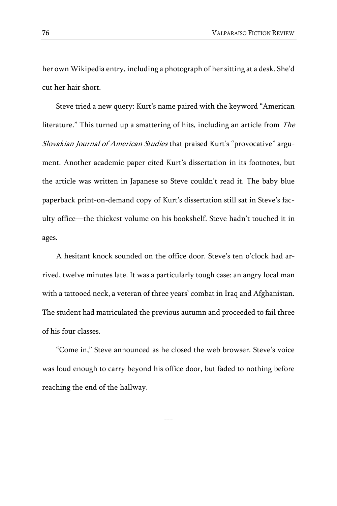her own Wikipedia entry, including a photograph of her sitting at a desk. She'd cut her hair short.

Steve tried a new query: Kurt's name paired with the keyword "American literature." This turned up a smattering of hits, including an article from The Slovakian Journal of American Studies that praised Kurt's "provocative" argument. Another academic paper cited Kurt's dissertation in its footnotes, but the article was written in Japanese so Steve couldn't read it. The baby blue paperback print-on-demand copy of Kurt's dissertation still sat in Steve's faculty office—the thickest volume on his bookshelf. Steve hadn't touched it in ages.

A hesitant knock sounded on the office door. Steve's ten o'clock had arrived, twelve minutes late. It was a particularly tough case: an angry local man with a tattooed neck, a veteran of three years' combat in Iraq and Afghanistan. The student had matriculated the previous autumn and proceeded to fail three of his four classes.

"Come in," Steve announced as he closed the web browser. Steve's voice was loud enough to carry beyond his office door, but faded to nothing before reaching the end of the hallway.

---